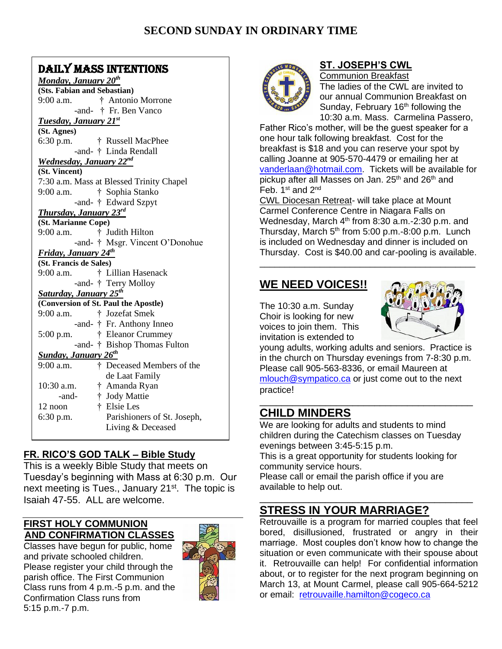## DAILY MASS INTENTIONS

| <u>Monday, January 20<sup>th</sup></u>   |
|------------------------------------------|
| (Sts. Fabian and Sebastian)              |
| † Antonio Morrone<br>9:00 a.m.           |
| -and- † Fr. Ben Vanco                    |
| <b>Tuesday, January 21st</b>             |
| (St. Agnes)                              |
| 6:30 p.m.<br>† Russell MacPhee           |
| -and- † Linda Rendall                    |
| Wednesday, January 22nd                  |
| (St. Vincent)                            |
| 7:30 a.m. Mass at Blessed Trinity Chapel |
| 9:00 a.m.<br>† Sophia Stanko             |
| -and- † Edward Szpyt                     |
| Thursday, January 23rd                   |
| (St. Marianne Cope)                      |
| 9:00 a.m.<br>† Judith Hilton             |
| -and- † Msgr. Vincent O'Donohue          |
| Friday, January 24th                     |
| (St. Francis de Sales)                   |
| † Lillian Hasenack<br>9:00 a.m.          |
| -and- † Terry Molloy                     |
| <b>Saturday, January 25th</b>            |
| (Conversion of St. Paul the Apostle)     |
| 9:00 a.m.<br>† Jozefat Smek              |
| -and- † Fr. Anthony Inneo                |
| † Eleanor Crummey<br>5:00 p.m.           |
| -and- † Bishop Thomas Fulton             |
| <b>Sunday, January 26th</b>              |
| † Deceased Members of the<br>9:00 a.m.   |
| de Laat Family                           |
| 10:30 a.m.<br>† Amanda Ryan              |
| † Jody Mattie<br>-and-                   |
|                                          |
| † Elsie Les<br>12 noon                   |
| Parishioners of St. Joseph,<br>6:30 p.m. |
| Living & Deceased                        |

### **FR. RICO'S GOD TALK – Bible Study**

This is a weekly Bible Study that meets on Tuesday's beginning with Mass at 6:30 p.m. Our next meeting is Tues., January 21<sup>st</sup>. The topic is Isaiah 47-55. ALL are welcome.

### **FIRST HOLY COMMUNION AND CONFIRMATION CLASSES**

Classes have begun for public, home and private schooled children. Please register your child through the parish office. The First Communion Class runs from 4 p.m.-5 p.m. and the Confirmation Class runs from 5:15 p.m.-7 p.m.





### **ST. JOSEPH'S CWL**

Communion Breakfast The ladies of the CWL are invited to our annual Communion Breakfast on Sunday, February  $16<sup>th</sup>$  following the 10:30 a.m. Mass. Carmelina Passero,

Father Rico's mother, will be the guest speaker for a one hour talk following breakfast. Cost for the breakfast is \$18 and you can reserve your spot by calling Joanne at 905-570-4479 or emailing her at [vanderlaan@hotmail.com.](mailto:vanderlaan@hotmail.com) Tickets will be available for pickup after all Masses on Jan.  $25<sup>th</sup>$  and  $26<sup>th</sup>$  and Feb. 1<sup>st</sup> and 2<sup>nd</sup>

CWL Diocesan Retreat- will take place at Mount Carmel Conference Centre in Niagara Falls on Wednesday, March  $4<sup>th</sup>$  from 8:30 a.m.-2:30 p.m. and Thursday, March  $5<sup>th</sup>$  from 5:00 p.m.-8:00 p.m. Lunch is included on Wednesday and dinner is included on Thursday. Cost is \$40.00 and car-pooling is available.

\_\_\_\_\_\_\_\_\_\_\_\_\_\_\_\_\_\_\_\_\_\_\_\_\_\_\_\_\_\_\_\_\_\_\_\_\_\_\_\_\_\_\_

## **WE NEED VOICES!!**

The 10:30 a.m. Sunday Choir is looking for new voices to join them. This invitation is extended to



young adults, working adults and seniors. Practice is in the church on Thursday evenings from 7-8:30 p.m. Please call 905-563-8336, or email Maureen at [mlouch@sympatico.ca](mailto:mlouch@sympatico.ca) or just come out to the next practice!

### \_\_\_\_\_\_\_\_\_\_\_\_\_\_\_\_\_\_\_\_\_\_\_\_\_\_\_\_\_\_\_\_\_\_\_\_\_\_\_ **CHILD MINDERS**

We are looking for adults and students to mind children during the Catechism classes on Tuesday evenings between 3:45-5:15 p.m.

This is a great opportunity for students looking for community service hours.

\_\_\_\_\_\_\_\_\_\_\_\_\_\_\_\_\_\_\_\_\_\_\_\_\_\_\_\_\_\_\_\_\_\_\_\_\_\_\_

Please call or email the parish office if you are available to help out.

# **STRESS IN YOUR MARRIAGE?**

Retrouvaille is a program for married couples that feel bored, disillusioned, frustrated or angry in their marriage. Most couples don't know how to change the situation or even communicate with their spouse about it. Retrouvaille can help! For confidential information about, or to register for the next program beginning on March 13, at Mount Carmel, please call 905-664-5212 or email: [retrouvaille.hamilton@cogeco.ca](mailto:retrouvaille.hamilton@cogeco.ca)